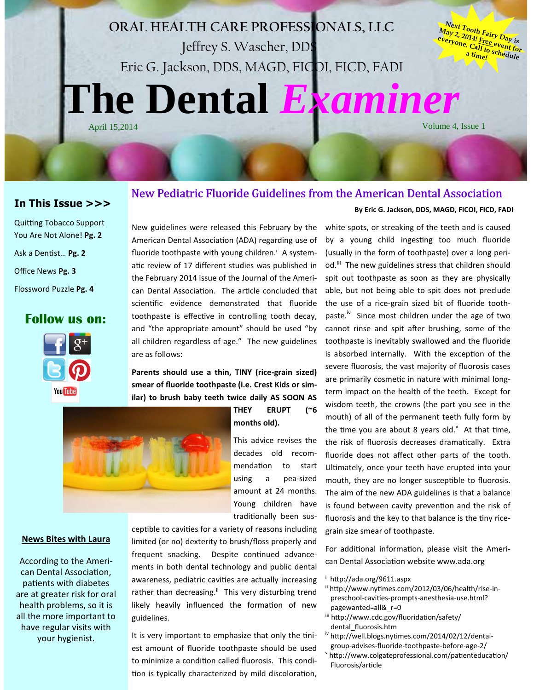# **The Dental** *Examiner* ORAL HEALTH CARE PROFESSIONALS, LLC Jeffrey S. Wascher, DDS Eric G. Jackson, DDS, MAGD, FICOI, FICD, FADI

**Next Tooth Fairy Day is May 2, 2014! Free event for everyone. Call to schedule <sup>a</sup> time!**

Volume 4, Issue 1

## In This Issue >>>

## Quitting Tobacco Support You Are Not Alone! Pg. 2 Ask a Dentist... Pg. 2 Office News Pg. 3 Flossword Puzzle Pg. 4

## Follow us on:



New guidelines were released this February by the American Dental Association (ADA) regarding use of fluoride toothpaste with young children.<sup>*i*</sup> A systematic review of 17 different studies was published in the February 2014 issue of the Journal of the American Dental Association. The article concluded that scientific evidence demonstrated that fluoride toothpaste is effective in controlling tooth decay, and "the appropriate amount" should be used "by all children regardless of age." The new guidelines are as follows:

## Parents should use a thin, TINY (rice-grain sized) smear of fluoride toothpaste (i.e. Crest Kids or similar) to brush baby teeth twice daily AS SOON AS



THEY ERUPT (~6 months old).

New Pediatric Fluoride Guidelines from the American Dental Association

This advice revises the decades old recommendation to start using a pea-sized amount at 24 months. Young children have traditionally been sus-

#### News Bites with Laura

According to the American Dental Association, patients with diabetes are at greater risk for oral health problems, so it is all the more important to have regular visits with your hygienist.

ceptible to cavities for a variety of reasons including limited (or no) dexterity to brush/floss properly and frequent snacking. Despite continued advancements in both dental technology and public dental awareness, pediatric cavities are actually increasing rather than decreasing.<sup>ii</sup> This very disturbing trend likely heavily influenced the formation of new guidelines.

It is very important to emphasize that only the tiniest amount of fluoride toothpaste should be used to minimize a condition called fluorosis. This condition is typically characterized by mild discoloration,

## By Eric G. Jackson, DDS, MAGD, FICOI, FICD, FADI

white spots, or streaking of the teeth and is caused by a young child ingesting too much fluoride (usually in the form of toothpaste) over a long period.<sup>iii</sup> The new guidelines stress that children should spit out toothpaste as soon as they are physically able, but not being able to spit does not preclude the use of a rice-grain sized bit of fluoride toothpaste.<sup>iv</sup> Since most children under the age of two cannot rinse and spit after brushing, some of the toothpaste is inevitably swallowed and the fluoride is absorbed internally. With the exception of the severe fluorosis, the vast majority of fluorosis cases are primarily cosmetic in nature with minimal longterm impact on the health of the teeth. Except for wisdom teeth, the crowns (the part you see in the mouth) of all of the permanent teeth fully form by the time you are about 8 years old. $^{\vee}$  At that time, the risk of fluorosis decreases dramatically. Extra fluoride does not affect other parts of the tooth. Ultimately, once your teeth have erupted into your mouth, they are no longer susceptible to fluorosis. The aim of the new ADA guidelines is that a balance is found between cavity prevention and the risk of fluorosis and the key to that balance is the tiny ricegrain size smear of toothpaste.

For additional information, please visit the American Dental Association website www.ada.org

- <sup>i</sup> http://ada.org/9611.aspx
- ii http://www.nytimes.com/2012/03/06/health/rise-inpreschool-cavities-prompts-anesthesia-use.html? pagewanted=all&\_r=0
- iii http://www.cdc.gov/fluoridation/safety/ dental\_fluorosis.htm
- <sup>iv</sup> http://well.blogs.nytimes.com/2014/02/12/dental group-advises-fluoride-toothpaste-before-age-2/ v
- http://www.colgateprofessional.com/patienteducation/ Fluorosis/article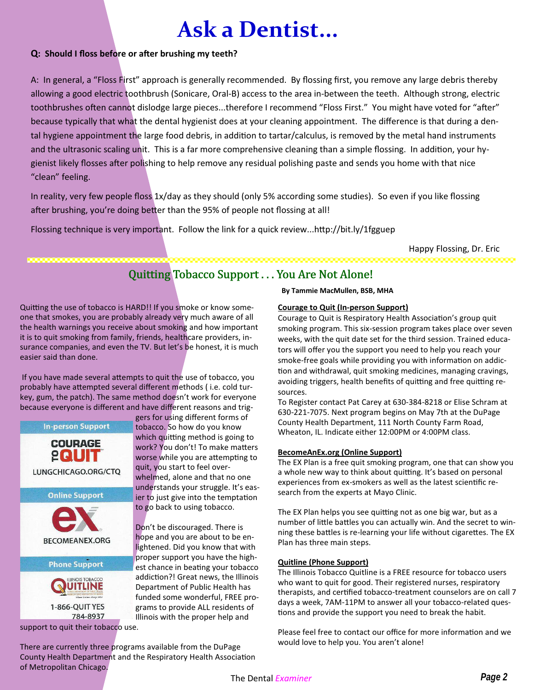# Ask a Dentist...

## Q: Should I floss before or after brushing my teeth?

A: In general, a "Floss First" approach is generally recommended. By flossing first, you remove any large debris thereby allowing a good electric toothbrush (Sonicare, Oral-B) access to the area in-between the teeth. Although strong, electric toothbrushes often cannot dislodge large pieces...therefore I recommend "Floss First." You might have voted for "after" because typically that what the dental hygienist does at your cleaning appointment. The difference is that during a dental hygiene appointment the large food debris, in addition to tartar/calculus, is removed by the metal hand instruments and the ultrasonic scaling unit. This is a far more comprehensive cleaning than a simple flossing. In addition, your hygienist likely flosses after polishing to help remove any residual polishing paste and sends you home with that nice "clean" feeling.

In reality, very few people floss 1x/day as they should (only 5% according some studies). So even if you like flossing after brushing, you're doing better than the 95% of people not flossing at all!

Flossing technique is very important. Follow the link for a quick review...http://bit.ly/1fgguep

Happy Flossing, Dr. Eric

## Quitting Tobacco Support . . . You Are Not Alone!

Quitting the use of tobacco is HARD!! If you smoke or know someone that smokes, you are probably already very much aware of all the health warnings you receive about smoking and how important it is to quit smoking from family, friends, healthcare providers, insurance companies, and even the TV. But let's be honest, it is much easier said than done.

If you have made several attempts to quit the use of tobacco, you probably have attempted several different methods (i.e. cold turkey, gum, the patch). The same method doesn't work for everyone because everyone is different and have different reasons and trig-



gers for using different forms of tobacco. So how do you know which quitting method is going to work? You don't! To make matters worse while you are attempting to quit, you start to feel overwhelmed, alone and that no one understands your struggle. It's easier to just give into the temptation to go back to using tobacco.

Don't be discouraged. There is hope and you are about to be enlightened. Did you know that with proper support you have the highest chance in beating your tobacco addiction?! Great news, the Illinois Department of Public Health has funded some wonderful, FREE programs to provide ALL residents of Illinois with the proper help and

By Tammie MacMullen, BSB, MHA

#### Courage to Quit (In-person Support)

Courage to Quit is Respiratory Health Association's group quit smoking program. This six-session program takes place over seven weeks, with the quit date set for the third session. Trained educators will offer you the support you need to help you reach your smoke-free goals while providing you with information on addiction and withdrawal, quit smoking medicines, managing cravings, avoiding triggers, health benefits of quitting and free quitting resources.

To Register contact Pat Carey at 630-384-8218 or Elise Schram at 630-221-7075. Next program begins on May 7th at the DuPage County Health Department, 111 North County Farm Road, Wheaton, IL. Indicate either 12:00PM or 4:00PM class.

### BecomeAnEx.org (Online Support)

The EX Plan is a free quit smoking program, one that can show you a whole new way to think about quitting. It's based on personal experiences from ex-smokers as well as the latest scientific research from the experts at Mayo Clinic.

The EX Plan helps you see quitting not as one big war, but as a number of little battles you can actually win. And the secret to winning these battles is re-learning your life without cigarettes. The EX Plan has three main steps.

### Quitline (Phone Support)

The Illinois Tobacco Quitline is a FREE resource for tobacco users who want to quit for good. Their registered nurses, respiratory therapists, and certified tobacco-treatment counselors are on call 7 days a week, 7AM-11PM to answer all your tobacco-related ques tions and provide the support you need to break the habit.

Please feel free to contact our office for more information and we would love to help you. You aren't alone!

There are currently three programs available from the DuPage County Health Department and the Respiratory Health Association of Metropolitan Chicago.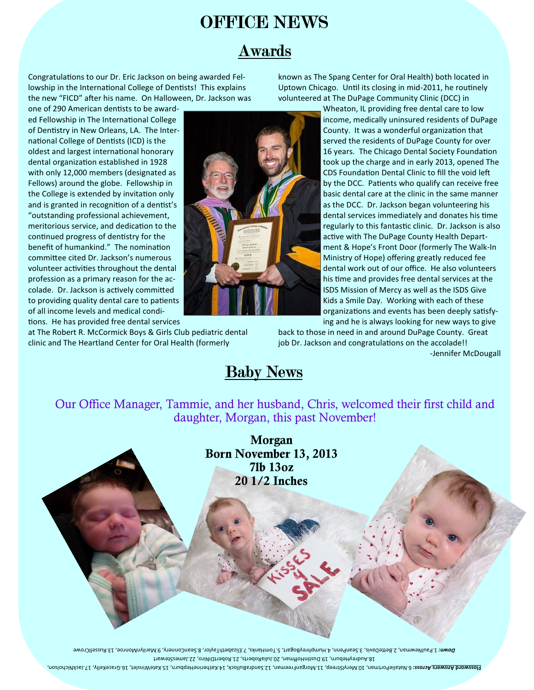## OFFICE NEWS

## Awards

Congratulations to our Dr. Eric Jackson on being awarded Fellowship in the International College of Dentists! This explains the new "FICD" after his name. On Halloween, Dr. Jackson was

one of 290 American dentists to be awarded Fellowship in The International College of Dentistry in New Orleans, LA. The International College of Dentists (ICD) is the oldest and largest international honorary dental organization established in 1928 with only 12,000 members (designated as Fellows) around the globe. Fellowship in the College is extended by invitation only and is granted in recognition of a dentist's "outstanding professional achievement, meritorious service, and dedication to the continued progress of dentistry for the benefit of humankind." The nomination committee cited Dr. Jackson's numerous volunteer activities throughout the dental profession as a primary reason for the accolade. Dr. Jackson is actively committed to providing quality dental care to patients of all income levels and medical condi tions. He has provided free dental services

at The Robert R. McCormick Boys & Girls Club pediatric dental clinic and The Heartland Center for Oral Health (formerly

known as The Spang Center for Oral Health) both located in Uptown Chicago. Until its closing in mid-2011, he routinely volunteered at The DuPage Community Clinic (DCC) in

Wheaton, IL providing free dental care to low income, medically uninsured residents of DuPage County. It was a wonderful organization that served the residents of DuPage County for over 16 years. The Chicago Dental Society Foundation took up the charge and in early 2013, opened The CDS Foundation Dental Clinic to fill the void left by the DCC. Patients who qualify can receive free basic dental care at the clinic in the same manner as the DCC. Dr. Jackson began volunteering his dental services immediately and donates his time regularly to this fantastic clinic. Dr. Jackson is also active with The DuPage County Health Department & Hope's Front Door (formerly The Walk-In Ministry of Hope) offering greatly reduced fee dental work out of our office. He also volunteers his time and provides free dental services at the ISDS Mission of Mercy as well as the ISDS Give Kids a Smile Day. Working with each of these organizations and events has been deeply satisfying and he is always looking for new ways to give

back to those in need in and around DuPage County. Great job Dr. Jackson and congratulations on the accolade!!

-Jennifer McDougall

## **Baby News**

Our Office Manager, Tammie, and her husband, Chris, welcomed their first child and daughter, Morgan, this past November!

> Morgan Born November 13, 2013 7lb 13oz 20 1/2 Inches

22.JamesStewart 18.AudreyHeburn, 19.DusnHoffman, 20.JuliaRoberts, 21.RobertDiNiro, Down: 1.PaulNewman, 2.BetteDavis L. Rivoroman, 9.SeanConnery, 2. ElizabethTaylor, 3. SeanConnery, 9.MarilynMonroe, 13.MusellCrowe

noziodai Abatherine Arrossi 2. Natalieportman, 10. Natalisat 14. Aasuman 17. Aatalien 14. Aatalie Answers Answers<br>The Window Street Micholson, 11. Jackwan, 11. Across: Freeman, 19. SandraBullock, 14. Jackword Answers and A